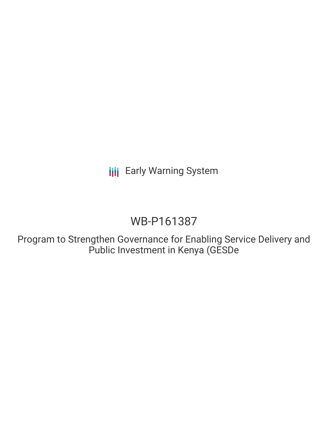**III** Early Warning System

# WB-P161387

Program to Strengthen Governance for Enabling Service Delivery and Public Investment in Kenya (GESDe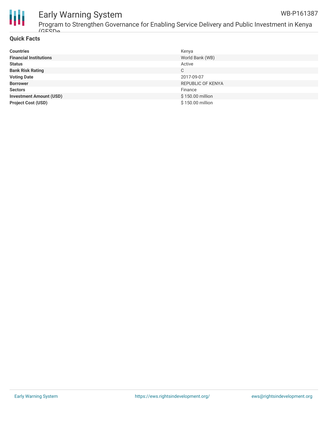



## Early Warning System

Program to Strengthen Governance for Enabling Service Delivery and Public Investment in Kenya  $(CF<sub>CDO</sub>)$ 

#### **Quick Facts**

| <b>Countries</b>               | Kenya                    |
|--------------------------------|--------------------------|
| <b>Financial Institutions</b>  | World Bank (WB)          |
| <b>Status</b>                  | Active                   |
| <b>Bank Risk Rating</b>        | C                        |
| <b>Voting Date</b>             | 2017-09-07               |
| <b>Borrower</b>                | <b>REPUBLIC OF KENYA</b> |
| <b>Sectors</b>                 | Finance                  |
| <b>Investment Amount (USD)</b> | \$150.00 million         |
| <b>Project Cost (USD)</b>      | \$150.00 million         |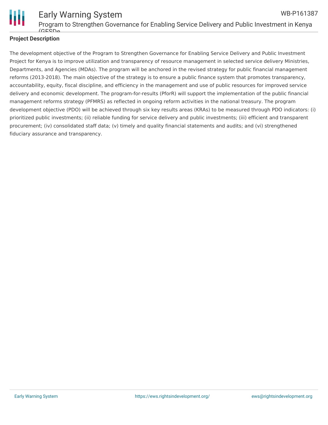

Early Warning System Program to Strengthen Governance for Enabling Service Delivery and Public Investment in Kenya  $(CECD<sub>0</sub>)$ WB-P161387

#### **Project Description**

The development objective of the Program to Strengthen Governance for Enabling Service Delivery and Public Investment Project for Kenya is to improve utilization and transparency of resource management in selected service delivery Ministries, Departments, and Agencies (MDAs). The program will be anchored in the revised strategy for public financial management reforms (2013-2018). The main objective of the strategy is to ensure a public finance system that promotes transparency, accountability, equity, fiscal discipline, and efficiency in the management and use of public resources for improved service delivery and economic development. The program-for-results (PforR) will support the implementation of the public financial management reforms strategy (PFMRS) as reflected in ongoing reform activities in the national treasury. The program development objective (PDO) will be achieved through six key results areas (KRAs) to be measured through PDO indicators: (i) prioritized public investments; (ii) reliable funding for service delivery and public investments; (iii) efficient and transparent procurement; (iv) consolidated staff data; (v) timely and quality financial statements and audits; and (vi) strengthened fiduciary assurance and transparency.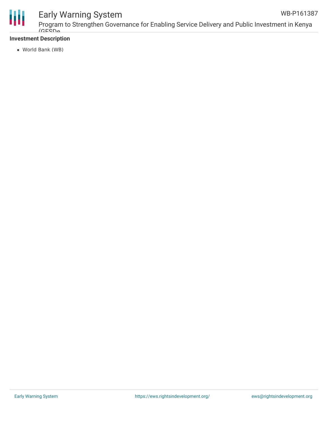

## Early Warning System

#### **Investment Description**

World Bank (WB)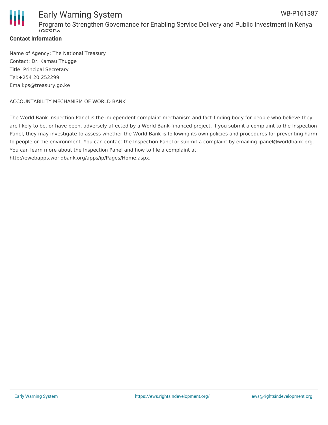

#### **Contact Information**

Name of Agency: The National Treasury Contact: Dr. Kamau Thugge Title: Principal Secretary Tel:+254 20 252299 Email:ps@treasury.go.ke

#### ACCOUNTABILITY MECHANISM OF WORLD BANK

The World Bank Inspection Panel is the independent complaint mechanism and fact-finding body for people who believe they are likely to be, or have been, adversely affected by a World Bank-financed project. If you submit a complaint to the Inspection Panel, they may investigate to assess whether the World Bank is following its own policies and procedures for preventing harm to people or the environment. You can contact the Inspection Panel or submit a complaint by emailing ipanel@worldbank.org. You can learn more about the Inspection Panel and how to file a complaint at: http://ewebapps.worldbank.org/apps/ip/Pages/Home.aspx.